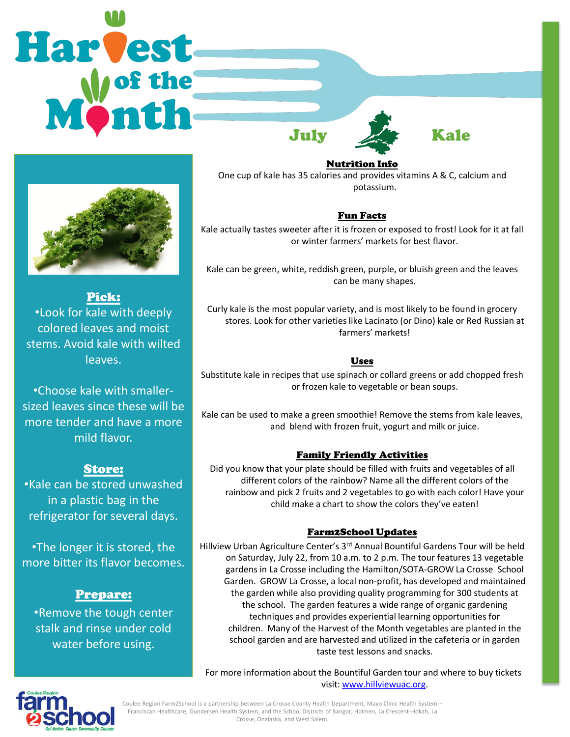# Harvest July Kale



Pick: •Look for kale with deeply colored leaves and moist stems. Avoid kale with wilted leaves.

•Choose kale with smallersized leaves since these will be more tender and have a more mild flavor.

# Store:

•Kale can be stored unwashed in a plastic bag in the refrigerator for several days.

•The longer it is stored, the more bitter its flavor becomes.

# Prepare:

•Remove the tough center stalk and rinse under cold water before using.

Nutrition Info

One cup of kale has 35 calories and provides vitamins A & C, calcium and potassium.

# Fun Facts

Kale actually tastes sweeter after it is frozen or exposed to frost! Look for it at fall or winter farmers' markets for best flavor.

Kale can be green, white, reddish green, purple, or bluish green and the leaves can be many shapes.

Curly kale is the most popular variety, and is most likely to be found in grocery stores. Look for other varieties like Lacinato (or Dino) kale or Red Russian at farmers' markets!

# Uses

Substitute kale in recipes that use spinach or collard greens or add chopped fresh or frozen kale to vegetable or bean soups.

Kale can be used to make a green smoothie! Remove the stems from kale leaves, and blend with frozen fruit, yogurt and milk or juice.

# Family Friendly Activities

Did you know that your plate should be filled with fruits and vegetables of all different colors of the rainbow? Name all the different colors of the rainbow and pick 2 fruits and 2 vegetables to go with each color! Have your child make a chart to show the colors they've eaten!

# Farm2School Updates

Hillview Urban Agriculture Center's 3<sup>rd</sup> Annual Bountiful Gardens Tour will be held on Saturday, July 22, from 10 a.m. to 2 p.m. The tour features 13 vegetable gardens in La Crosse including the Hamilton/SOTA-GROW La Crosse School Garden. GROW La Crosse, a local non-profit, has developed and maintained the garden while also providing quality programming for 300 students at the school. The garden features a wide range of organic gardening techniques and provides experiential learning opportunities for children. Many of the Harvest of the Month vegetables are planted in the school garden and are harvested and utilized in the cafeteria or in garden taste test lessons and snacks.

For more information about the Bountiful Garden tour and where to buy tickets visit: [www.hillviewuac.org.](http://www.hillviewuac.org/)



Coulee Region Farm2School is a partnership between La Crosse County Health Department, Mayo Clinic Health System – Franciscan Healthcare, Gundersen Health System, and the School Districts of Bangor, Holmen, La Crescent-Hokah, La Crosse, Onalaska, and West Salem.